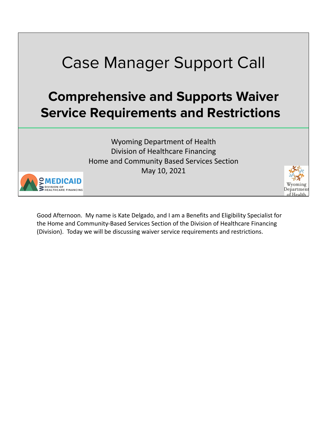

Good Afternoon. My name is Kate Delgado, and I am a Benefits and Eligibility Specialist for the Home and Community-Based Services Section of the Division of Healthcare Financing (Division). Today we will be discussing waiver service requirements and restrictions.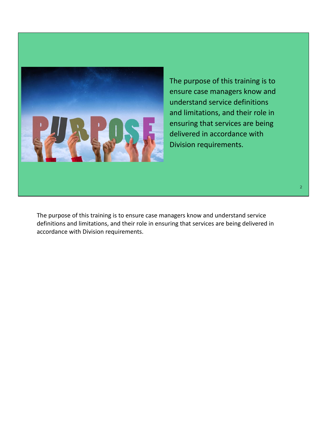

The purpose of this training is to ensure case managers know and understand service definitions and limitations, and their role in ensuring that services are being delivered in accordance with Division requirements.

The purpose of this training is to ensure case managers know and understand service definitions and limitations, and their role in ensuring that services are being delivered in accordance with Division requirements.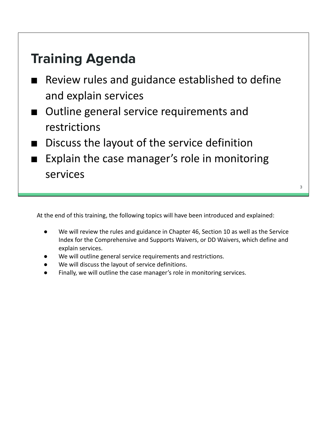# **Training Agenda**

- Review rules and guidance established to define and explain services
- Outline general service requirements and restrictions
- Discuss the layout of the service definition
- Explain the case manager's role in monitoring services

At the end of this training, the following topics will have been introduced and explained:

We will review the rules and guidance in Chapter 46, Section 10 as well as the Service Index for the Comprehensive and Supports Waivers, or DD Waivers, which define and explain services.

3

- We will outline general service requirements and restrictions.
- We will discuss the layout of service definitions.
- Finally, we will outline the case manager's role in monitoring services.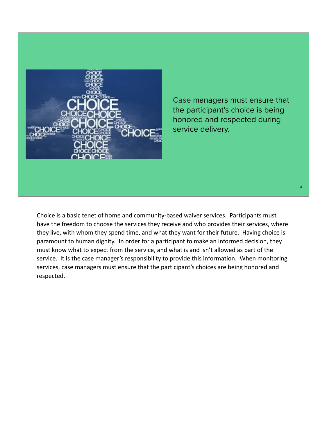

Case managers must ensure that the participant's choice is being honored and respected during service delivery.

4

Choice is a basic tenet of home and community-based waiver services. Participants must have the freedom to choose the services they receive and who provides their services, where they live, with whom they spend time, and what they want for their future. Having choice is paramount to human dignity. In order for a participant to make an informed decision, they must know what to expect from the service, and what is and isn't allowed as part of the service. It is the case manager's responsibility to provide this information. When monitoring services, case managers must ensure that the participant's choices are being honored and respected.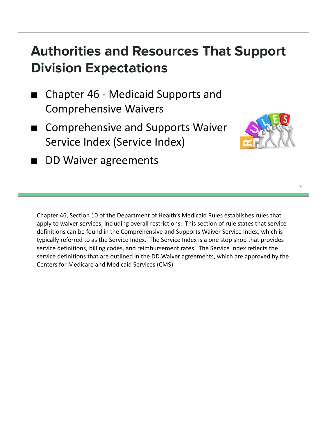# **Authorities and Resources That Support Division Expectations**

- Chapter 46 Medicaid Supports and Comprehensive Waivers
- **Comprehensive and Supports Waiver** Service Index (Service Index)



5

DD Waiver agreements

Chapter 46, Section 10 of the Department of Health's Medicaid Rules establishes rules that apply to waiver services, including overall restrictions. This section of rule states that service definitions can be found in the Comprehensive and Supports Waiver Service Index, which is typically referred to as the Service Index. The Service Index is a one stop shop that provides service definitions, billing codes, and reimbursement rates. The Service Index reflects the service definitions that are outlined in the DD Waiver agreements, which are approved by the Centers for Medicare and Medicaid Services (CMS).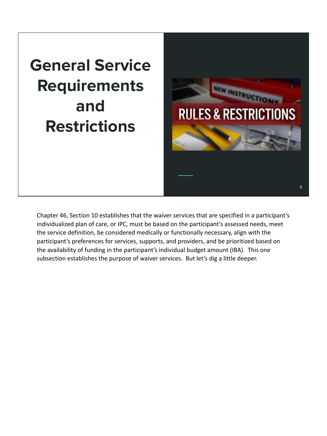# **General Service Requirements and Restrictions**



Chapter 46, Section 10 establishes that the waiver services that are specified in a participant's individualized plan of care, or IPC, must be based on the participant's assessed needs, meet the service definition, be considered medically or functionally necessary, align with the participant's preferences for services, supports, and providers, and be prioritized based on the availability of funding in the participant's individual budget amount (IBA). This one subsection establishes the purpose of waiver services. But let's dig a little deeper.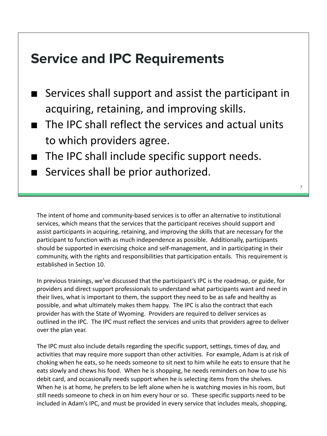## **Service and IPC Requirements**

- Services shall support and assist the participant in acquiring, retaining, and improving skills.
- The IPC shall reflect the services and actual units to which providers agree.
- The IPC shall include specific support needs.
- Services shall be prior authorized.

The intent of home and community-based services is to offer an alternative to institutional services, which means that the services that the participant receives should support and assist participants in acquiring, retaining, and improving the skills that are necessary for the participant to function with as much independence as possible. Additionally, participants should be supported in exercising choice and self-management, and in participating in their community, with the rights and responsibilities that participation entails. This requirement is established in Section 10.

In previous trainings, we've discussed that the participant's IPC is the roadmap, or guide, for providers and direct support professionals to understand what participants want and need in their lives, what is important to them, the support they need to be as safe and healthy as possible, and what ultimately makes them happy. The IPC is also the contract that each provider has with the State of Wyoming. Providers are required to deliver services as outlined in the IPC. The IPC must reflect the services and units that providers agree to deliver over the plan year.

The IPC must also include details regarding the specific support, settings, times of day, and activities that may require more support than other activities. For example, Adam is at risk of choking when he eats, so he needs someone to sit next to him while he eats to ensure that he eats slowly and chews his food. When he is shopping, he needs reminders on how to use his debit card, and occasionally needs support when he is selecting items from the shelves. When he is at home, he prefers to be left alone when he is watching movies in his room, but still needs someone to check in on him every hour or so. These specific supports need to be included in Adam's IPC, and must be provided in every service that includes meals, shopping,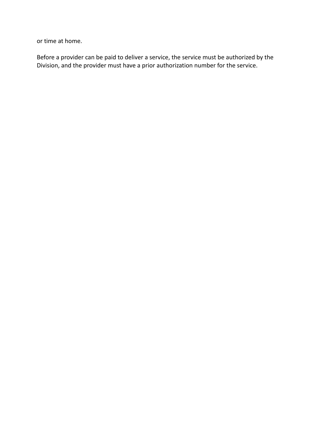or time at home.

Before a provider can be paid to deliver a service, the service must be authorized by the Division, and the provider must have a prior authorization number for the service.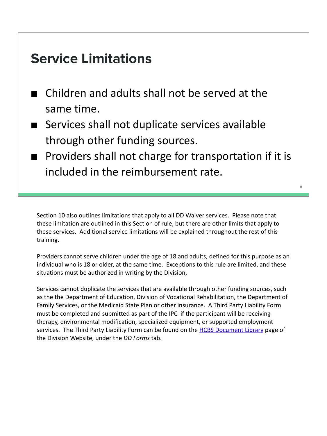## **Service Limitations**

- Children and adults shall not be served at the same time.
- Services shall not duplicate services available through other funding sources.
- Providers shall not charge for transportation if it is included in the reimbursement rate.

Section 10 also outlines limitations that apply to all DD Waiver services. Please note that these limitation are outlined in this Section of rule, but there are other limits that apply to these services. Additional service limitations will be explained throughout the rest of this training.

Providers cannot serve children under the age of 18 and adults, defined for this purpose as an individual who is 18 or older, at the same time. Exceptions to this rule are limited, and these situations must be authorized in writing by the Division,

Services cannot duplicate the services that are available through other funding sources, such as the the Department of Education, Division of Vocational Rehabilitation, the Department of Family Services, or the Medicaid State Plan or other insurance. A Third Party Liability Form must be completed and submitted as part of the IPC if the participant will be receiving therapy, environmental modification, specialized equipment, or supported employment services. The Third Party Liability Form can be found on the HCBS Document Library page of the Division Website, under the *DD Forms* tab.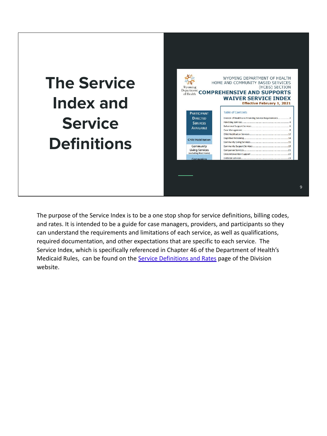# **The Service Index and Service Definitions**



The purpose of the Service Index is to be a one stop shop for service definitions, billing codes, and rates. It is intended to be a guide for case managers, providers, and participants so they can understand the requirements and limitations of each service, as well as qualifications, required documentation, and other expectations that are specific to each service. The Service Index, which is specifically referenced in Chapter 46 of the Department of Health's Medicaid Rules, can be found on the Service Definitions and Rates page of the Division website.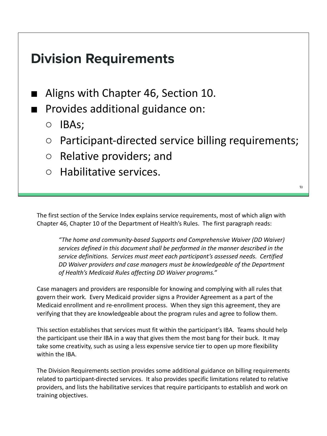## **Division Requirements**

- Aligns with Chapter 46, Section 10.
- Provides additional guidance on:
	- IBAs;
	- Participant-directed service billing requirements;
	- Relative providers; and
	- Habilitative services.

The first section of the Service Index explains service requirements, most of which align with Chapter 46, Chapter 10 of the Department of Health's Rules. The first paragraph reads:

*"The home and community-based Supports and Comprehensive Waiver (DD Waiver) services defined in this document shall be performed in the manner described in the service definitions. Services must meet each participant's assessed needs. Certified DD Waiver providers and case managers must be knowledgeable of the Department of Health's Medicaid Rules affecting DD Waiver programs."*

Case managers and providers are responsible for knowing and complying with all rules that govern their work. Every Medicaid provider signs a Provider Agreement as a part of the Medicaid enrollment and re-enrollment process. When they sign this agreement, they are verifying that they are knowledgeable about the program rules and agree to follow them.

This section establishes that services must fit within the participant's IBA. Teams should help the participant use their IBA in a way that gives them the most bang for their buck. It may take some creativity, such as using a less expensive service tier to open up more flexibility within the IBA.

The Division Requirements section provides some additional guidance on billing requirements related to participant-directed services. It also provides specific limitations related to relative providers, and lists the habilitative services that require participants to establish and work on training objectives.

10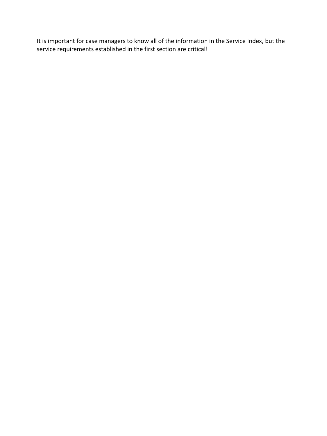It is important for case managers to know all of the information in the Service Index, but the service requirements established in the first section are critical!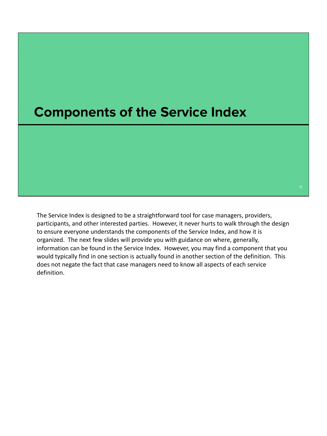#### **Components of the Service Index**

The Service Index is designed to be a straightforward tool for case managers, providers, participants, and other interested parties. However, it never hurts to walk through the design to ensure everyone understands the components of the Service Index, and how it is organized. The next few slides will provide you with guidance on where, generally, information can be found in the Service Index. However, you may find a component that you would typically find in one section is actually found in another section of the definition. This does not negate the fact that case managers need to know all aspects of each service definition.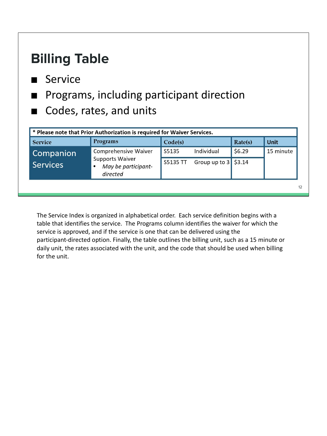| <b>Billing Table</b>         |                                                                                     |          |               |         |             |
|------------------------------|-------------------------------------------------------------------------------------|----------|---------------|---------|-------------|
| ■ Service                    |                                                                                     |          |               |         |             |
|                              | Programs, including participant direction<br>Codes, rates, and units                |          |               |         |             |
|                              |                                                                                     |          |               |         |             |
| <b>Service</b>               | * Please note that Prior Authorization is required for Waiver Services.<br>Programs | Code(s)  |               | Rate(s) | <b>Unit</b> |
|                              | Comprehensive Waiver                                                                | S5135    | Individual    | \$6.29  | 15 minute   |
| Companion<br><b>Services</b> | <b>Supports Waiver</b><br>May be participant-<br>directed                           | S5135 TT | Group up to 3 | \$3.14  |             |

The Service Index is organized in alphabetical order. Each service definition begins with a table that identifies the service. The Programs column identifies the waiver for which the service is approved, and if the service is one that can be delivered using the participant-directed option. Finally, the table outlines the billing unit, such as a 15 minute or daily unit, the rates associated with the unit, and the code that should be used when billing for the unit.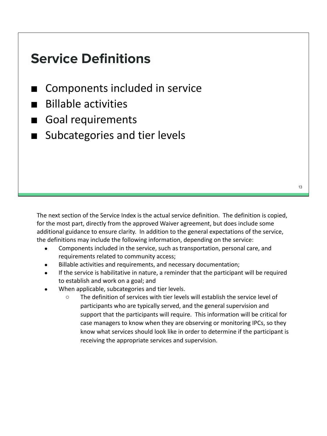# **Service Definitions**

- **Components included in service**
- Billable activities
- Goal requirements
- Subcategories and tier levels

The next section of the Service Index is the actual service definition. The definition is copied, for the most part, directly from the approved Waiver agreement, but does include some additional guidance to ensure clarity. In addition to the general expectations of the service, the definitions may include the following information, depending on the service:

- Components included in the service, such as transportation, personal care, and requirements related to community access;
- Billable activities and requirements, and necessary documentation;
- If the service is habilitative in nature, a reminder that the participant will be required to establish and work on a goal; and
- When applicable, subcategories and tier levels.
	- The definition of services with tier levels will establish the service level of participants who are typically served, and the general supervision and support that the participants will require. This information will be critical for case managers to know when they are observing or monitoring IPCs, so they know what services should look like in order to determine if the participant is receiving the appropriate services and supervision.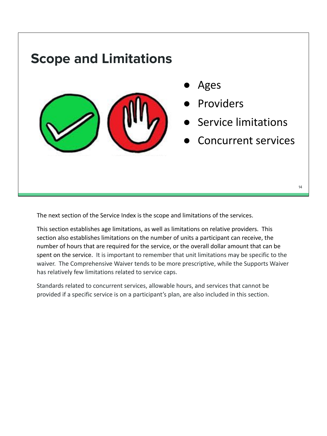

The next section of the Service Index is the scope and limitations of the services.

This section establishes age limitations, as well as limitations on relative providers. This section also establishes limitations on the number of units a participant can receive, the number of hours that are required for the service, or the overall dollar amount that can be spent on the service. It is important to remember that unit limitations may be specific to the waiver. The Comprehensive Waiver tends to be more prescriptive, while the Supports Waiver has relatively few limitations related to service caps.

Standards related to concurrent services, allowable hours, and services that cannot be provided if a specific service is on a participant's plan, are also included in this section.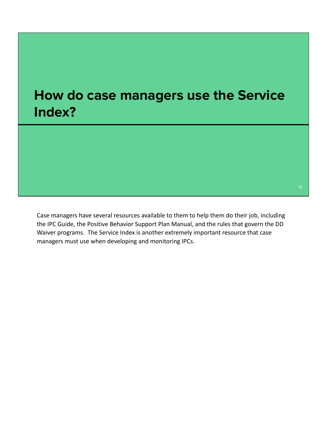## **How do case managers use the Service Index?**

Case managers have several resources available to them to help them do their job, including the IPC Guide, the Positive Behavior Support Plan Manual, and the rules that govern the DD Waiver programs. The Service Index is another extremely important resource that case managers must use when developing and monitoring IPCs.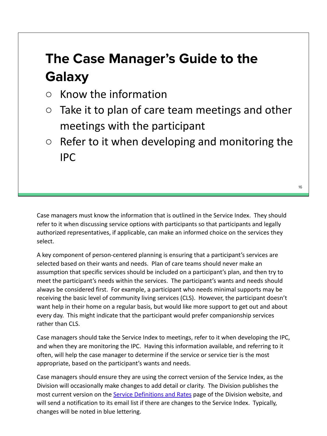# **The Case Manager's Guide to the Galaxy**

- $\circ$  Know the information
- $\circ$  Take it to plan of care team meetings and other meetings with the participant
- $\circ$  Refer to it when developing and monitoring the IPC

Case managers must know the information that is outlined in the Service Index. They should refer to it when discussing service options with participants so that participants and legally authorized representatives, if applicable, can make an informed choice on the services they select.

A key component of person-centered planning is ensuring that a participant's services are selected based on their wants and needs. Plan of care teams should never make an assumption that specific services should be included on a participant's plan, and then try to meet the participant's needs within the services. The participant's wants and needs should always be considered first. For example, a participant who needs minimal supports may be receiving the basic level of community living services (CLS). However, the participant doesn't want help in their home on a regular basis, but would like more support to get out and about every day. This might indicate that the participant would prefer companionship services rather than CLS.

Case managers should take the Service Index to meetings, refer to it when developing the IPC, and when they are monitoring the IPC. Having this information available, and referring to it often, will help the case manager to determine if the service or service tier is the most appropriate, based on the participant's wants and needs.

Case managers should ensure they are using the correct version of the Service Index, as the Division will occasionally make changes to add detail or clarity. The Division publishes the most current version on the Service Definitions and Rates page of the Division website, and will send a notification to its email list if there are changes to the Service Index. Typically, changes will be noted in blue lettering.

16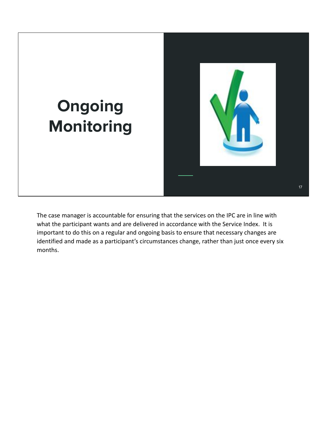

The case manager is accountable for ensuring that the services on the IPC are in line with what the participant wants and are delivered in accordance with the Service Index. It is important to do this on a regular and ongoing basis to ensure that necessary changes are identified and made as a participant's circumstances change, rather than just once every six months.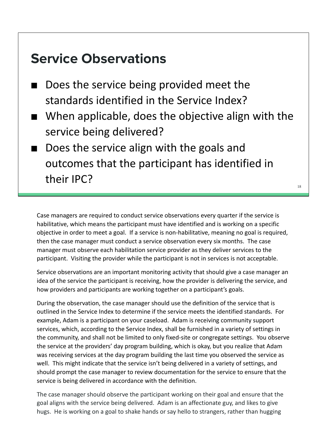#### **Service Observations**

- Does the service being provided meet the standards identified in the Service Index?
- When applicable, does the objective align with the service being delivered?
- Does the service align with the goals and outcomes that the participant has identified in their IPC?

Case managers are required to conduct service observations every quarter if the service is habilitative, which means the participant must have identified and is working on a specific objective in order to meet a goal. If a service is non-habilitative, meaning no goal is required, then the case manager must conduct a service observation every six months. The case manager must observe each habilitation service provider as they deliver services to the participant. Visiting the provider while the participant is not in services is not acceptable.

Service observations are an important monitoring activity that should give a case manager an idea of the service the participant is receiving, how the provider is delivering the service, and how providers and participants are working together on a participant's goals.

During the observation, the case manager should use the definition of the service that is outlined in the Service Index to determine if the service meets the identified standards. For example, Adam is a participant on your caseload. Adam is receiving community support services, which, according to the Service Index, shall be furnished in a variety of settings in the community, and shall not be limited to only fixed-site or congregate settings. You observe the service at the providers' day program building, which is okay, but you realize that Adam was receiving services at the day program building the last time you observed the service as well. This might indicate that the service isn't being delivered in a variety of settings, and should prompt the case manager to review documentation for the service to ensure that the service is being delivered in accordance with the definition.

The case manager should observe the participant working on their goal and ensure that the goal aligns with the service being delivered. Adam is an affectionate guy, and likes to give hugs. He is working on a goal to shake hands or say hello to strangers, rather than hugging

18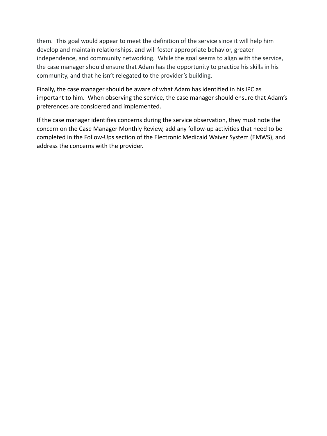them. This goal would appear to meet the definition of the service since it will help him develop and maintain relationships, and will foster appropriate behavior, greater independence, and community networking. While the goal seems to align with the service, the case manager should ensure that Adam has the opportunity to practice his skills in his community, and that he isn't relegated to the provider's building.

Finally, the case manager should be aware of what Adam has identified in his IPC as important to him. When observing the service, the case manager should ensure that Adam's preferences are considered and implemented.

If the case manager identifies concerns during the service observation, they must note the concern on the Case Manager Monthly Review, add any follow-up activities that need to be completed in the Follow-Ups section of the Electronic Medicaid Waiver System (EMWS), and address the concerns with the provider.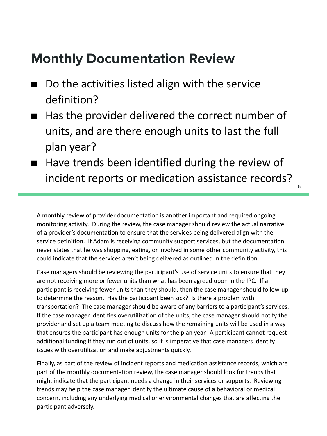#### **Monthly Documentation Review**

- Do the activities listed align with the service definition?
- Has the provider delivered the correct number of units, and are there enough units to last the full plan year?
- Have trends been identified during the review of incident reports or medication assistance records?

19

A monthly review of provider documentation is another important and required ongoing monitoring activity. During the review, the case manager should review the actual narrative of a provider's documentation to ensure that the services being delivered align with the service definition. If Adam is receiving community support services, but the documentation never states that he was shopping, eating, or involved in some other community activity, this could indicate that the services aren't being delivered as outlined in the definition.

Case managers should be reviewing the participant's use of service units to ensure that they are not receiving more or fewer units than what has been agreed upon in the IPC. If a participant is receiving fewer units than they should, then the case manager should follow-up to determine the reason. Has the participant been sick? Is there a problem with transportation? The case manager should be aware of any barriers to a participant's services. If the case manager identifies overutilization of the units, the case manager should notify the provider and set up a team meeting to discuss how the remaining units will be used in a way that ensures the participant has enough units for the plan year. A participant cannot request additional funding If they run out of units, so it is imperative that case managers identify issues with overutilization and make adjustments quickly.

Finally, as part of the review of incident reports and medication assistance records, which are part of the monthly documentation review, the case manager should look for trends that might indicate that the participant needs a change in their services or supports. Reviewing trends may help the case manager identify the ultimate cause of a behavioral or medical concern, including any underlying medical or environmental changes that are affecting the participant adversely.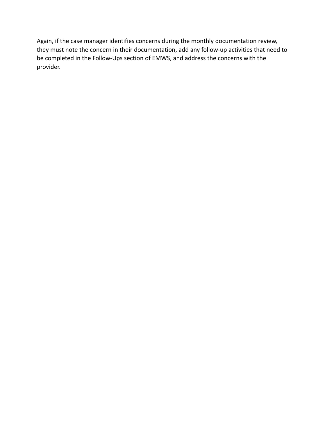Again, if the case manager identifies concerns during the monthly documentation review, they must note the concern in their documentation, add any follow-up activities that need to be completed in the Follow-Ups section of EMWS, and address the concerns with the provider.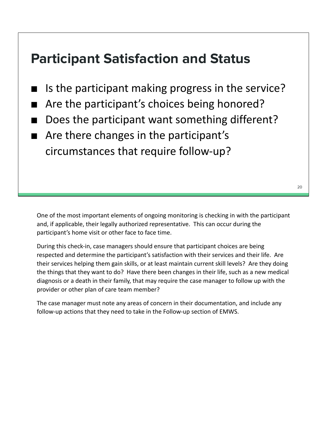### **Participant Satisfaction and Status**

- Is the participant making progress in the service?
- Are the participant's choices being honored?
- Does the participant want something different?
- Are there changes in the participant's circumstances that require follow-up?

During this check-in, case managers should ensure that participant choices are being respected and determine the participant's satisfaction with their services and their life. Are their services helping them gain skills, or at least maintain current skill levels? Are they doing the things that they want to do? Have there been changes in their life, such as a new medical diagnosis or a death in their family, that may require the case manager to follow up with the provider or other plan of care team member?

The case manager must note any areas of concern in their documentation, and include any follow-up actions that they need to take in the Follow-up section of EMWS.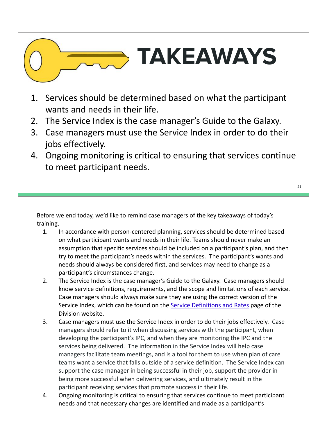# **TAKEAWAYS**

- 1. Services should be determined based on what the participant wants and needs in their life.
- 2. The Service Index is the case manager's Guide to the Galaxy.
- 3. Case managers must use the Service Index in order to do their jobs effectively.
- 4. Ongoing monitoring is critical to ensuring that services continue to meet participant needs.

21

Before we end today, we'd like to remind case managers of the key takeaways of today's training.

- 1. In accordance with person-centered planning, services should be determined based on what participant wants and needs in their life. Teams should never make an assumption that specific services should be included on a participant's plan, and then try to meet the participant's needs within the services. The participant's wants and needs should always be considered first, and services may need to change as a participant's circumstances change.
- 2. The Service Index is the case manager's Guide to the Galaxy. Case managers should know service definitions, requirements, and the scope and limitations of each service. Case managers should always make sure they are using the correct version of the Service Index, which can be found on the Service Definitions and Rates page of the Division website.
- 3. Case managers must use the Service Index in order to do their jobs effectively. Case managers should refer to it when discussing services with the participant, when developing the participant's IPC, and when they are monitoring the IPC and the services being delivered. The information in the Service Index will help case managers facilitate team meetings, and is a tool for them to use when plan of care teams want a service that falls outside of a service definition. The Service Index can support the case manager in being successful in their job, support the provider in being more successful when delivering services, and ultimately result in the participant receiving services that promote success in their life.
- 4. Ongoing monitoring is critical to ensuring that services continue to meet participant needs and that necessary changes are identified and made as a participant's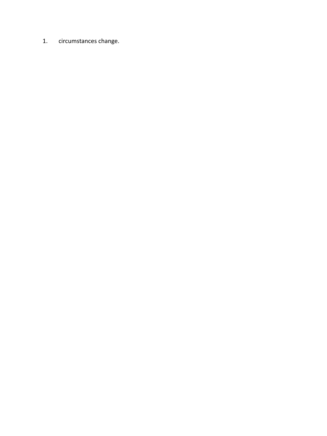1. circumstances change.